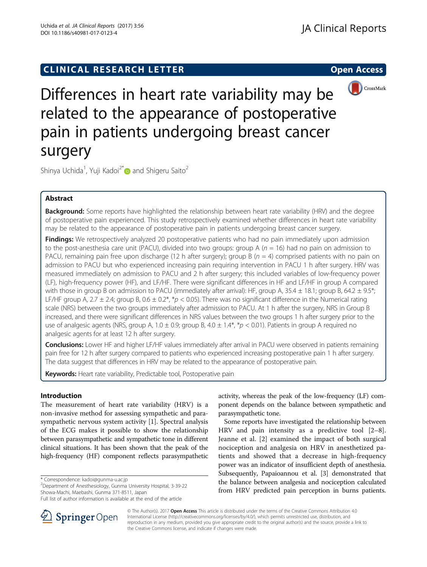# **CLINICAL RESEARCH LETTER CLINICAL RESEARCH LETTER Open Access**



Differences in heart rate variability may be related to the appearance of postoperative pain in patients undergoing breast cancer surgery

Shinya Uchida<sup>1</sup>, Yuji Kadoi<sup>2[\\*](http://orcid.org/0000-0002-6875-8585)</sup> $\bm{\mathsf{\scriptsize{D}}}$  and Shigeru Saito<sup>2</sup>

## Abstract

**Background:** Some reports have highlighted the relationship between heart rate variability (HRV) and the degree of postoperative pain experienced. This study retrospectively examined whether differences in heart rate variability may be related to the appearance of postoperative pain in patients undergoing breast cancer surgery.

**Findings:** We retrospectively analyzed 20 postoperative patients who had no pain immediately upon admission to the post-anesthesia care unit (PACU), divided into two groups: group A ( $n = 16$ ) had no pain on admission to PACU, remaining pain free upon discharge (12 h after surgery); group B ( $n = 4$ ) comprised patients with no pain on admission to PACU but who experienced increasing pain requiring intervention in PACU 1 h after surgery. HRV was measured immediately on admission to PACU and 2 h after surgery; this included variables of low-frequency power (LF), high-frequency power (HF), and LF/HF. There were significant differences in HF and LF/HF in group A compared with those in group B on admission to PACU (immediately after arrival): HF, group A, 35.4  $\pm$  18.1; group B, 64.2  $\pm$  9.5\*; LF/HF group A, 2.7  $\pm$  2.4; group B, 0.6  $\pm$  0.2\*, \*p < 0.05). There was no significant difference in the Numerical rating scale (NRS) between the two groups immediately after admission to PACU. At 1 h after the surgery, NRS in Group B increased, and there were significant differences in NRS values between the two groups 1 h after surgery prior to the use of analgesic agents (NRS, group A, 1.0  $\pm$  0.9; group B, 4.0  $\pm$  1.4\*, \*p < 0.01). Patients in group A required no analgesic agents for at least 12 h after surgery.

Conclusions: Lower HF and higher LF/HF values immediately after arrival in PACU were observed in patients remaining pain free for 12 h after surgery compared to patients who experienced increasing postoperative pain 1 h after surgery. The data suggest that differences in HRV may be related to the appearance of postoperative pain.

**Keywords:** Heart rate variability, Predictable tool, Postoperative pain

## Introduction

The measurement of heart rate variability (HRV) is a non-invasive method for assessing sympathetic and parasympathetic nervous system activity [\[1](#page-4-0)]. Spectral analysis of the ECG makes it possible to show the relationship between parasympathetic and sympathetic tone in different clinical situations. It has been shown that the peak of the high-frequency (HF) component reflects parasympathetic

\* Correspondence: [kadoi@gunma-u.ac.jp](mailto:kadoi@gunma-u.ac.jp) <sup>2</sup>

Department of Anesthesiology, Gunma University Hospital, 3-39-22 Showa-Machi, Maebashi, Gunma 371-8511, Japan



Some reports have investigated the relationship between HRV and pain intensity as a predictive tool [\[2](#page-4-0)–[8](#page-4-0)]. Jeanne et al. [[2\]](#page-4-0) examined the impact of both surgical nociception and analgesia on HRV in anesthetized patients and showed that a decrease in high-frequency power was an indicator of insufficient depth of anesthesia. Subsequently, Papaioannou et al. [\[3](#page-4-0)] demonstrated that the balance between analgesia and nociception calculated from HRV predicted pain perception in burns patients.



© The Author(s). 2017 Open Access This article is distributed under the terms of the Creative Commons Attribution 4.0 International License ([http://creativecommons.org/licenses/by/4.0/\)](http://creativecommons.org/licenses/by/4.0/), which permits unrestricted use, distribution, and reproduction in any medium, provided you give appropriate credit to the original author(s) and the source, provide a link to the Creative Commons license, and indicate if changes were made.

Full list of author information is available at the end of the article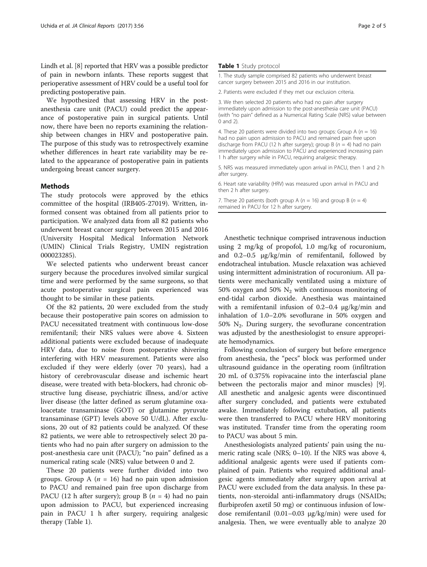Lindh et al. [\[8](#page-4-0)] reported that HRV was a possible predictor of pain in newborn infants. These reports suggest that perioperative assessment of HRV could be a useful tool for predicting postoperative pain.

We hypothesized that assessing HRV in the postanesthesia care unit (PACU) could predict the appearance of postoperative pain in surgical patients. Until now, there have been no reports examining the relationship between changes in HRV and postoperative pain. The purpose of this study was to retrospectively examine whether differences in heart rate variability may be related to the appearance of postoperative pain in patients undergoing breast cancer surgery.

## Methods

The study protocols were approved by the ethics committee of the hospital (IRB405-27019). Written, informed consent was obtained from all patients prior to participation. We analyzed data from all 82 patients who underwent breast cancer surgery between 2015 and 2016 (University Hospital Medical Information Network (UMIN) Clinical Trials Registry, UMIN registration 000023285).

We selected patients who underwent breast cancer surgery because the procedures involved similar surgical time and were performed by the same surgeons, so that acute postoperative surgical pain experienced was thought to be similar in these patients.

Of the 82 patients, 20 were excluded from the study because their postoperative pain scores on admission to PACU necessitated treatment with continuous low-dose remifentanil; their NRS values were above 4. Sixteen additional patients were excluded because of inadequate HRV data, due to noise from postoperative shivering interfering with HRV measurement. Patients were also excluded if they were elderly (over 70 years), had a history of cerebrovascular disease and ischemic heart disease, were treated with beta-blockers, had chronic obstructive lung disease, psychiatric illness, and/or active liver disease (the latter defined as serum glutamine oxaloacetate transaminase (GOT) or glutamine pyruvate transaminase (GPT) levels above 50 U/dL). After exclusions, 20 out of 82 patients could be analyzed. Of these 82 patients, we were able to retrospectively select 20 patients who had no pain after surgery on admission to the post-anesthesia care unit (PACU); "no pain" defined as a numerical rating scale (NRS) value between 0 and 2.

These 20 patients were further divided into two groups. Group A ( $n = 16$ ) had no pain upon admission to PACU and remained pain free upon discharge from PACU (12 h after surgery); group B ( $n = 4$ ) had no pain upon admission to PACU, but experienced increasing pain in PACU 1 h after surgery, requiring analgesic therapy (Table 1).

#### Table 1 Study protocol

1. The study sample comprised 82 patients who underwent breast cancer surgery between 2015 and 2016 in our institution.

2. Patients were excluded if they met our exclusion criteria.

3. We then selected 20 patients who had no pain after surgery immediately upon admission to the post-anesthesia care unit (PACU) (with "no pain" defined as a Numerical Rating Scale (NRS) value between 0 and 2).

4. These 20 patients were divided into two groups: Group A ( $n = 16$ ) had no pain upon admission to PACU and remained pain free upon discharge from PACU (12 h after surgery); group B ( $n = 4$ ) had no pain immediately upon admission to PACU and experienced increasing pain 1 h after surgery while in PACU, requiring analgesic therapy.

5. NRS was measured immediately upon arrival in PACU, then 1 and 2 h after surgery.

6. Heart rate variability (HRV) was measured upon arrival in PACU and then 2 h after surgery.

7. These 20 patients (both group A ( $n = 16$ ) and group B ( $n = 4$ ) remained in PACU for 12 h after surgery.

Anesthetic technique comprised intravenous induction using 2 mg/kg of propofol, 1.0 mg/kg of rocuronium, and 0.2–0.5 μg/kg/min of remifentanil, followed by endotracheal intubation. Muscle relaxation was achieved using intermittent administration of rocuronium. All patients were mechanically ventilated using a mixture of 50% oxygen and 50%  $N_2$  with continuous monitoring of end-tidal carbon dioxide. Anesthesia was maintained with a remifentanil infusion of 0.2–0.4 μg/kg/min and inhalation of 1.0–2.0% sevoflurane in 50% oxygen and 50%  $N_2$ . During surgery, the sevoflurane concentration was adjusted by the anesthesiologist to ensure appropriate hemodynamics.

Following conclusion of surgery but before emergence from anesthesia, the "pecs" block was performed under ultrasound guidance in the operating room (infiltration 20 mL of 0.375% ropivacaine into the interfascial plane between the pectoralis major and minor muscles) [\[9](#page-4-0)]. All anesthetic and analgesic agents were discontinued after surgery concluded, and patients were extubated awake. Immediately following extubation, all patients were then transferred to PACU where HRV monitoring was instituted. Transfer time from the operating room to PACU was about 5 min.

Anesthesiologists analyzed patients' pain using the numeric rating scale (NRS; 0–10). If the NRS was above 4, additional analgesic agents were used if patients complained of pain. Patients who required additional analgesic agents immediately after surgery upon arrival at PACU were excluded from the data analysis. In these patients, non-steroidal anti-inflammatory drugs (NSAIDs; flurbiprofen axetil 50 mg) or continuous infusion of lowdose remifentanil (0.01–0.03 μg/kg/min) were used for analgesia. Then, we were eventually able to analyze 20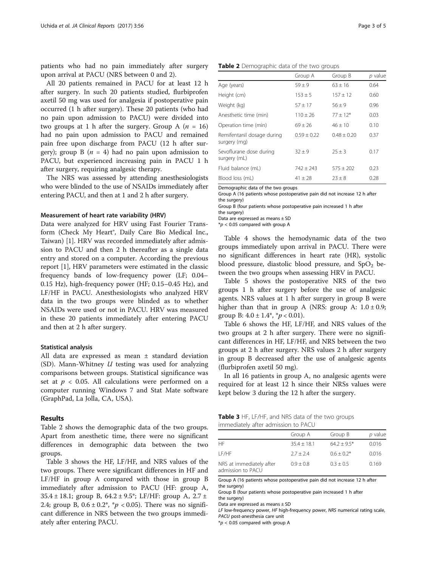patients who had no pain immediately after surgery upon arrival at PACU (NRS between 0 and 2).

All 20 patients remained in PACU for at least 12 h after surgery. In such 20 patients studied, flurbiprofen axetil 50 mg was used for analgesia if postoperative pain occurred (1 h after surgery). These 20 patients (who had no pain upon admission to PACU) were divided into two groups at 1 h after the surgery. Group A  $(n = 16)$ had no pain upon admission to PACU and remained pain free upon discharge from PACU (12 h after surgery); group B ( $n = 4$ ) had no pain upon admission to PACU, but experienced increasing pain in PACU 1 h after surgery, requiring analgesic therapy.

The NRS was assessed by attending anesthesiologists who were blinded to the use of NSAIDs immediately after entering PACU, and then at 1 and 2 h after surgery.

#### Measurement of heart rate variability (HRV)

Data were analyzed for HRV using Fast Fourier Transform (Check My Heart®, Daily Care Bio Medical Inc., Taiwan) [\[1](#page-4-0)]. HRV was recorded immediately after admission to PACU and then 2 h thereafter as a single data entry and stored on a computer. According the previous report [\[1](#page-4-0)], HRV parameters were estimated in the classic frequency bands of low-frequency power (LF; 0.04– 0.15 Hz), high-frequency power (HF; 0.15–0.45 Hz), and LF/HF in PACU. Anesthesiologists who analyzed HRV data in the two groups were blinded as to whether NSAIDs were used or not in PACU. HRV was measured in these 20 patients immediately after entering PACU and then at 2 h after surgery.

#### Statistical analysis

All data are expressed as mean ± standard deviation (SD). Mann-Whitney  $U$  testing was used for analyzing comparisons between groups. Statistical significance was set at  $p < 0.05$ . All calculations were performed on a computer running Windows 7 and Stat Mate software (GraphPad, La Jolla, CA, USA).

## Results

Table 2 shows the demographic data of the two groups. Apart from anesthetic time, there were no significant differences in demographic data between the two groups.

Table 3 shows the HF, LF/HF, and NRS values of the two groups. There were significant differences in HF and LF/HF in group A compared with those in group B immediately after admission to PACU (HF: group A, 35.4 ± 18.1; group B, 64.2 ± 9.5\*; LF/HF: group A, 2.7 ± 2.4; group B,  $0.6 \pm 0.2^*$ ,  $p \le 0.05$ ). There was no significant difference in NRS between the two groups immediately after entering PACU.

|  | Table 2 Demographic data of the two groups |                                                        |
|--|--------------------------------------------|--------------------------------------------------------|
|  |                                            | $C_{\text{roun}}$ $\Lambda$ $C_{\text{roun}}$ $\Omega$ |

| Group A       | Group B       | p value |
|---------------|---------------|---------|
| $59 + 9$      | $63 + 16$     | 0.64    |
| $153 \pm 5$   | $157 \pm 12$  | 0.60    |
| $57 \pm 17$   | $56 + 9$      | 0.96    |
| $110 + 26$    | $77 + 12*$    | 0.03    |
| $69 \pm 26$   | $46 + 10$     | 0.10    |
| $0.59 + 0.22$ | $0.48 + 0.20$ | 0.37    |
| $32 + 9$      | $25 + 3$      | 0.17    |
| $742 \pm 243$ | $575 + 202$   | 0.23    |
| $41 \pm 28$   | $23 + 8$      | 0.28    |
|               |               |         |

Demographic data of the two groups

Group A (16 patients whose postoperative pain did not increase 12 h after the surgery)

Group B (four patients whose postoperative pain increased 1 h after the surgery)

Data are expressed as means ± SD

 $*p$  < 0.05 compared with group A

Table [4](#page-3-0) shows the hemodynamic data of the two groups immediately upon arrival in PACU. There were no significant differences in heart rate (HR), systolic blood pressure, diastolic blood pressure, and  $SpO<sub>2</sub>$  between the two groups when assessing HRV in PACU.

Table [5](#page-3-0) shows the postoperative NRS of the two groups 1 h after surgery before the use of analgesic agents. NRS values at 1 h after surgery in group B were higher than that in group A (NRS: group A:  $1.0 \pm 0.9$ ; group B:  $4.0 \pm 1.4^*$ ,  $p < 0.01$ ).

Table [6](#page-3-0) shows the HF, LF/HF, and NRS values of the two groups at 2 h after surgery. There were no significant differences in HF, LF/HF, and NRS between the two groups at 2 h after surgery. NRS values 2 h after surgery in group B decreased after the use of analgesic agents (flurbiprofen axetil 50 mg).

In all 16 patients in group A, no analgesic agents were required for at least 12 h since their NRSs values were kept below 3 during the 12 h after the surgery.

| <b>Table 3</b> HF, LF/HF, and NRS data of the two groups |  |  |  |
|----------------------------------------------------------|--|--|--|
| immediately after admission to PACU                      |  |  |  |

|                                               | Group A       | Group B       | p value |
|-----------------------------------------------|---------------|---------------|---------|
| HF.                                           | $35.4 + 18.1$ | $64.2 + 9.5*$ | 0.016   |
| I F/HF                                        | $2.7 + 2.4$   | $0.6 + 0.2*$  | 0.016   |
| NRS at immediately after<br>admission to PACU | $0.9 + 0.8$   | $0.3 + 0.5$   | 0.169   |

Group A (16 patients whose postoperative pain did not increase 12 h after the surgery)

Group B (four patients whose postoperative pain increased 1 h after the surgery)

Data are expressed as means ± SD

LF low-frequency power, HF high-frequency power, NRS numerical rating scale, PACU post-anesthesia care unit

 $*p$  < 0.05 compared with group A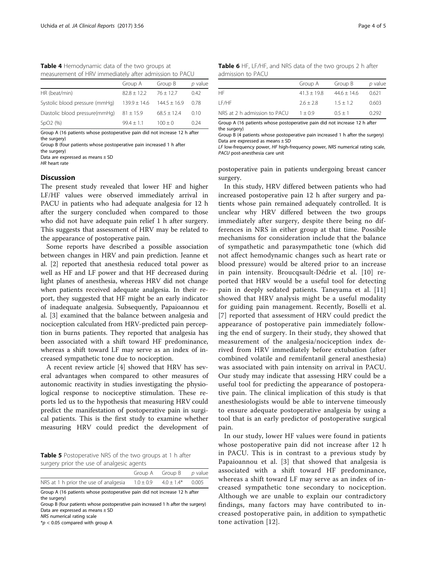<span id="page-3-0"></span>Table 4 Hemodynamic data of the two groups at measurement of HRV immediately after admission to PACU

|                                | Group A          | Group B        | p value |
|--------------------------------|------------------|----------------|---------|
| HR (beat/min)                  | $82.8 + 12.2$    | $76 + 127$     | 042     |
| Systolic blood pressure (mmHg) | $139.9 \pm 14.6$ | $144.5 + 16.9$ | 0.78    |
| Diastolic blood pressure(mmHq) | $81 \pm 15.9$    | $68.5 + 12.4$  | 0.10    |
| SpO2(%)                        | $99.4 + 1.1$     | $100 + 0$      | 0.24    |

Group A (16 patients whose postoperative pain did not increase 12 h after the surgery)

Group B (four patients whose postoperative pain increased 1 h after the surgery)

Data are expressed as means ± SD

HR heart rate

### **Discussion**

The present study revealed that lower HF and higher LF/HF values were observed immediately arrival in PACU in patients who had adequate analgesia for 12 h after the surgery concluded when compared to those who did not have adequate pain relief 1 h after surgery. This suggests that assessment of HRV may be related to the appearance of postoperative pain.

Some reports have described a possible association between changes in HRV and pain prediction. Jeanne et al. [[2](#page-4-0)] reported that anesthesia reduced total power as well as HF and LF power and that HF decreased during light planes of anesthesia, whereas HRV did not change when patients received adequate analgesia. In their report, they suggested that HF might be an early indicator of inadequate analgesia. Subsequently, Papaioannou et al. [[3](#page-4-0)] examined that the balance between analgesia and nociception calculated from HRV-predicted pain perception in burns patients. They reported that analgesia has been associated with a shift toward HF predominance, whereas a shift toward LF may serve as an index of increased sympathetic tone due to nociception.

A recent review article [[4\]](#page-4-0) showed that HRV has several advantages when compared to other measures of autonomic reactivity in studies investigating the physiological response to nociceptive stimulation. These reports led us to the hypothesis that measuring HRV could predict the manifestation of postoperative pain in surgical patients. This is the first study to examine whether measuring HRV could predict the development of

**Table 5** Postoperative NRS of the two groups at 1 h after surgery prior the use of analgesic agents

|                                                                           | Group A Group B p value |  |
|---------------------------------------------------------------------------|-------------------------|--|
| NRS at 1 h prior the use of analgesia $1.0 \pm 0.9$ $4.0 \pm 1.4^*$ 0.005 |                         |  |

Group A (16 patients whose postoperative pain did not increase 12 h after the surgery)

Group B (four patients whose postoperative pain increased 1 h after the surgery) Data are expressed as means ± SD NRS numerical rating scale

 $*p$  < 0.05 compared with group A

Table 6 HF, LF/HF, and NRS data of the two groups 2 h after admission to PACU

|                              | Group A       | Group B       | p value |
|------------------------------|---------------|---------------|---------|
| НF                           | $41.3 + 19.8$ | $44.6 + 14.6$ | 0.621   |
| I F/HF                       | $2.6 + 2.8$   | $1.5 + 1.2$   | 0.603   |
| NRS at 2 h admission to PACU | $1 + 0.9$     | $0.5 + 1$     | 0.292   |
|                              |               |               |         |

Group A (16 patients whose postoperative pain did not increase 12 h after the surgery)

Group B (4 patients whose postoperative pain increased 1 h after the surgery) Data are expressed as means ± SD

LF low-frequency power, HF high-frequency power, NRS numerical rating scale, PACU post-anesthesia care unit

postoperative pain in patients undergoing breast cancer surgery.

In this study, HRV differed between patients who had increased postoperative pain 12 h after surgery and patients whose pain remained adequately controlled. It is unclear why HRV differed between the two groups immediately after surgery, despite there being no differences in NRS in either group at that time. Possible mechanisms for consideration include that the balance of sympathetic and parasympathetic tone (which did not affect hemodynamic changes such as heart rate or blood pressure) would be altered prior to an increase in pain intensity. Broucqsault-Dédrie et al. [\[10](#page-4-0)] reported that HRV would be a useful tool for detecting pain in deeply sedated patients. Taneyama et al. [\[11](#page-4-0)] showed that HRV analysis might be a useful modality for guiding pain management. Recently, Boselli et al. [[7](#page-4-0)] reported that assessment of HRV could predict the appearance of postoperative pain immediately following the end of surgery. In their study, they showed that measurement of the analgesia/nociception index derived from HRV immediately before extubation (after combined volatile and remifentanil general anesthesia) was associated with pain intensity on arrival in PACU. Our study may indicate that assessing HRV could be a useful tool for predicting the appearance of postoperative pain. The clinical implication of this study is that anesthesiologists would be able to intervene timeously to ensure adequate postoperative analgesia by using a tool that is an early predictor of postoperative surgical pain.

In our study, lower HF values were found in patients whose postoperative pain did not increase after 12 h in PACU. This is in contrast to a previous study by Papaioannou et al. [\[3](#page-4-0)] that showed that analgesia is associated with a shift toward HF predominance, whereas a shift toward LF may serve as an index of increased sympathetic tone secondary to nociception. Although we are unable to explain our contradictory findings, many factors may have contributed to increased postoperative pain, in addition to sympathetic tone activation [\[12\]](#page-4-0).